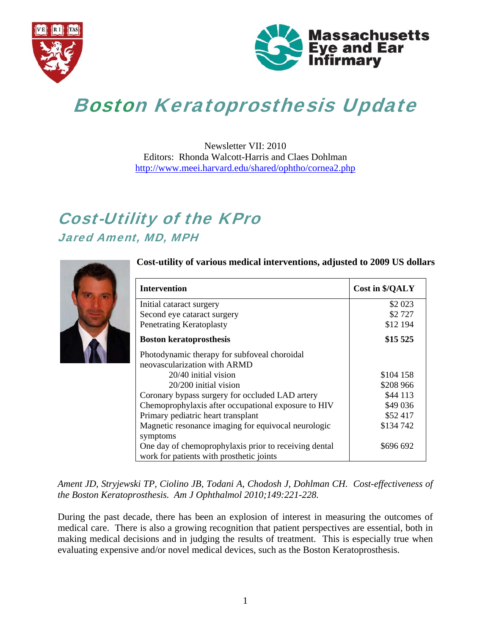



# Boston Keratoprosthesis Update

Newsletter VII: 2010 Editors: Rhonda Walcott-Harris and Claes Dohlman http://www.meei.harvard.edu/shared/ophtho/cornea2.php

# Cost-Utility of the KPro Jared Ament, MD, MPH



#### **Cost-utility of various medical interventions, adjusted to 2009 US dollars**

| <b>Intervention</b>                                   | <b>Cost in \$/QALY</b> |
|-------------------------------------------------------|------------------------|
| Initial cataract surgery                              | \$2 023                |
| Second eye cataract surgery                           | \$2727                 |
| Penetrating Keratoplasty                              | \$12 194               |
| <b>Boston keratoprosthesis</b>                        | \$15 525               |
| Photodynamic therapy for subfoveal choroidal          |                        |
| neovascularization with ARMD                          |                        |
| 20/40 initial vision                                  | \$104 158              |
| 20/200 initial vision                                 | \$208 966              |
| Coronary bypass surgery for occluded LAD artery       | \$44 113               |
| Chemoprophylaxis after occupational exposure to HIV   | \$49 036               |
| Primary pediatric heart transplant                    | \$52 417               |
| Magnetic resonance imaging for equivocal neurologic   | \$134 742              |
| symptoms                                              |                        |
| One day of chemoprophylaxis prior to receiving dental | \$696 692              |
| work for patients with prosthetic joints              |                        |

*Ament JD, Stryjewski TP, Ciolino JB, Todani A, Chodosh J, Dohlman CH. Cost-effectiveness of the Boston Keratoprosthesis. Am J Ophthalmol 2010;149:221-228.* 

During the past decade, there has been an explosion of interest in measuring the outcomes of medical care. There is also a growing recognition that patient perspectives are essential, both in making medical decisions and in judging the results of treatment. This is especially true when evaluating expensive and/or novel medical devices, such as the Boston Keratoprosthesis.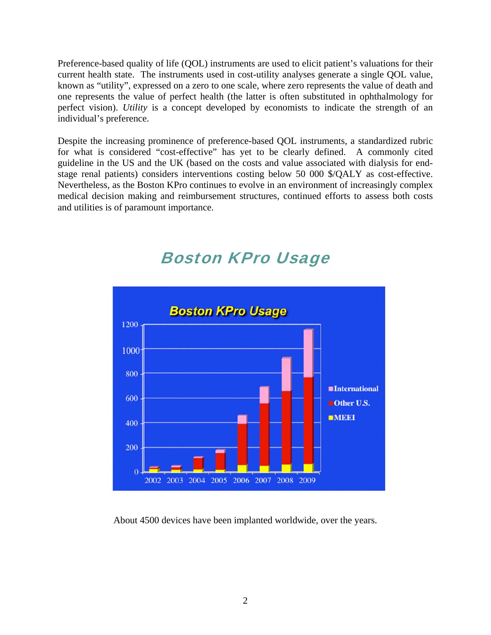Preference-based quality of life (QOL) instruments are used to elicit patient's valuations for their current health state. The instruments used in cost-utility analyses generate a single QOL value, known as "utility", expressed on a zero to one scale, where zero represents the value of death and one represents the value of perfect health (the latter is often substituted in ophthalmology for perfect vision). *Utility* is a concept developed by economists to indicate the strength of an individual's preference.

Despite the increasing prominence of preference-based QOL instruments, a standardized rubric for what is considered "cost-effective" has yet to be clearly defined. A commonly cited guideline in the US and the UK (based on the costs and value associated with dialysis for endstage renal patients) considers interventions costing below 50 000 \$/QALY as cost-effective. Nevertheless, as the Boston KPro continues to evolve in an environment of increasingly complex medical decision making and reimbursement structures, continued efforts to assess both costs and utilities is of paramount importance.



# Boston KPro Usage

About 4500 devices have been implanted worldwide, over the years.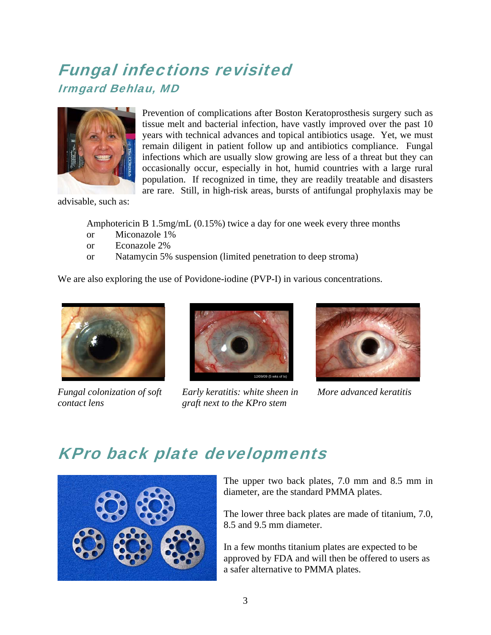# Fungal infections revisited Irmgard Behlau, MD



Prevention of complications after Boston Keratoprosthesis surgery such as tissue melt and bacterial infection, have vastly improved over the past 10 years with technical advances and topical antibiotics usage. Yet, we must remain diligent in patient follow up and antibiotics compliance. Fungal infections which are usually slow growing are less of a threat but they can occasionally occur, especially in hot, humid countries with a large rural population. If recognized in time, they are readily treatable and disasters are rare. Still, in high-risk areas, bursts of antifungal prophylaxis may be

advisable, such as:

Amphotericin B 1.5mg/mL (0.15%) twice a day for one week every three months

- or Miconazole 1%
- or Econazole 2%
- or Natamycin 5% suspension (limited penetration to deep stroma)

We are also exploring the use of Povidone-iodine (PVP-I) in various concentrations.



*Fungal colonization of soft contact lens* 



*Early keratitis: white sheen in graft next to the KPro stem* 



*More advanced keratitis* 

# KPro back plate developments



The upper two back plates, 7.0 mm and 8.5 mm in diameter, are the standard PMMA plates.

The lower three back plates are made of titanium, 7.0, 8.5 and 9.5 mm diameter.

In a few months titanium plates are expected to be approved by FDA and will then be offered to users as a safer alternative to PMMA plates.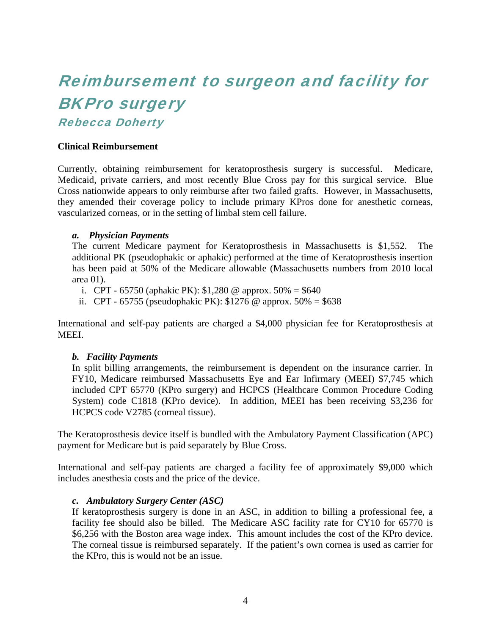# Reimbursement to surgeon and facility for BKPro surgery

Rebecca Doherty

#### **Clinical Reimbursement**

Currently, obtaining reimbursement for keratoprosthesis surgery is successful. Medicare, Medicaid, private carriers, and most recently Blue Cross pay for this surgical service. Blue Cross nationwide appears to only reimburse after two failed grafts. However, in Massachusetts, they amended their coverage policy to include primary KPros done for anesthetic corneas, vascularized corneas, or in the setting of limbal stem cell failure.

#### *a. Physician Payments*

The current Medicare payment for Keratoprosthesis in Massachusetts is \$1,552. The additional PK (pseudophakic or aphakic) performed at the time of Keratoprosthesis insertion has been paid at 50% of the Medicare allowable (Massachusetts numbers from 2010 local area 01).

- i. CPT 65750 (aphakic PK):  $$1,280$  @ approx. 50% = \$640
- ii. CPT 65755 (pseudophakic PK):  $$1276$  @ approx. 50% = \$638

International and self-pay patients are charged a \$4,000 physician fee for Keratoprosthesis at MEEI.

#### *b. Facility Payments*

In split billing arrangements, the reimbursement is dependent on the insurance carrier. In FY10, Medicare reimbursed Massachusetts Eye and Ear Infirmary (MEEI) \$7,745 which included CPT 65770 (KPro surgery) and HCPCS (Healthcare Common Procedure Coding System) code C1818 (KPro device). In addition, MEEI has been receiving \$3,236 for HCPCS code V2785 (corneal tissue).

The Keratoprosthesis device itself is bundled with the Ambulatory Payment Classification (APC) payment for Medicare but is paid separately by Blue Cross.

International and self-pay patients are charged a facility fee of approximately \$9,000 which includes anesthesia costs and the price of the device.

#### *c. Ambulatory Surgery Center (ASC)*

If keratoprosthesis surgery is done in an ASC, in addition to billing a professional fee, a facility fee should also be billed. The Medicare ASC facility rate for CY10 for 65770 is \$6,256 with the Boston area wage index. This amount includes the cost of the KPro device. The corneal tissue is reimbursed separately. If the patient's own cornea is used as carrier for the KPro, this is would not be an issue.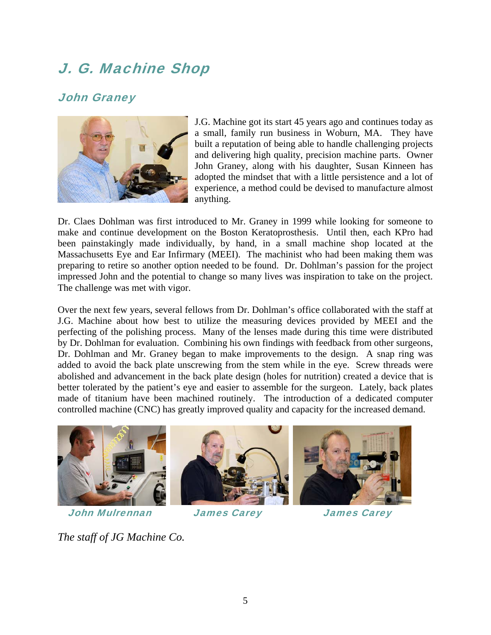## J. G. Machine Shop

#### John Graney



J.G. Machine got its start 45 years ago and continues today as a small, family run business in Woburn, MA. They have built a reputation of being able to handle challenging projects and delivering high quality, precision machine parts. Owner John Graney, along with his daughter, Susan Kinneen has adopted the mindset that with a little persistence and a lot of experience, a method could be devised to manufacture almost anything.

Dr. Claes Dohlman was first introduced to Mr. Graney in 1999 while looking for someone to make and continue development on the Boston Keratoprosthesis. Until then, each KPro had been painstakingly made individually, by hand, in a small machine shop located at the Massachusetts Eye and Ear Infirmary (MEEI). The machinist who had been making them was preparing to retire so another option needed to be found. Dr. Dohlman's passion for the project impressed John and the potential to change so many lives was inspiration to take on the project. The challenge was met with vigor.

Over the next few years, several fellows from Dr. Dohlman's office collaborated with the staff at J.G. Machine about how best to utilize the measuring devices provided by MEEI and the perfecting of the polishing process. Many of the lenses made during this time were distributed by Dr. Dohlman for evaluation. Combining his own findings with feedback from other surgeons, Dr. Dohlman and Mr. Graney began to make improvements to the design. A snap ring was added to avoid the back plate unscrewing from the stem while in the eye. Screw threads were abolished and advancement in the back plate design (holes for nutrition) created a device that is better tolerated by the patient's eye and easier to assemble for the surgeon. Lately, back plates made of titanium have been machined routinely. The introduction of a dedicated computer controlled machine (CNC) has greatly improved quality and capacity for the increased demand.



John Mulrennan James Carey James Carey

*The staff of JG Machine Co.*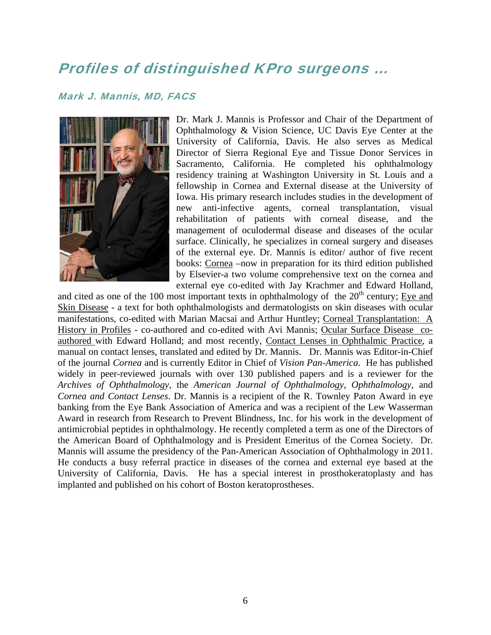### Profiles of distinguished KPro surgeons …

#### Mark J. Mannis, MD, FACS



Dr. Mark J. Mannis is Professor and Chair of the Department of Ophthalmology & Vision Science, UC Davis Eye Center at the University of California, Davis. He also serves as Medical Director of Sierra Regional Eye and Tissue Donor Services in Sacramento, California. He completed his ophthalmology residency training at Washington University in St. Louis and a fellowship in Cornea and External disease at the University of Iowa. His primary research includes studies in the development of new anti-infective agents, corneal transplantation, visual rehabilitation of patients with corneal disease, and the management of oculodermal disease and diseases of the ocular surface. Clinically, he specializes in corneal surgery and diseases of the external eye. Dr. Mannis is editor/ author of five recent books: Cornea -now in preparation for its third edition published by Elsevier-a two volum e comprehensive text on the cornea and external eye co-edited with Jay Krachmer and Edward Holland,

and cited as one of the 100 most important texts in ophthalmology of the  $20<sup>th</sup>$  century; Eye and Skin Disease - a text for both ophthalmologists and dermatologists on skin diseases with ocular manifestations, co-edited with Marian Macsai and Arthur Huntley; Corneal Transplantation: A History in Profiles - co-authored and co-edited with Avi Mannis; Ocular Surface Disease coauthored with Edward Holland; and most recently, Contact Lenses in Ophthalmic Practice, a manual on contact lenses, translated and edited by Dr. Mannis. Dr. Mannis was Editor-in-Chief of the journal *Cornea* and is currently Editor in Chief of *Vision Pan-America*. He has published widely in peer-reviewed journals with over 130 published papers and is a reviewer for the *Archives of Ophthalmology*, the *American Journal of Ophthalmology*, *Ophthalmology*, and *Cornea and Contact Lenses*. Dr. Mannis is a recipient of the R. Townley Paton Award in eye banking from the Eye Bank Association of America and was a recipient of the Lew Wasserman Award in research from Research to Prevent Blindness, Inc. for his work in the development of antimicrobial peptides in ophthalmology. He recently completed a term as one of the Directors of the American Board of Ophthalmology and is President Emeritus of the Cornea Society. Dr. Mannis will assume the presidency of the Pan-American Association of Ophthalmology in 2011. He conducts a busy referral practice in diseases of the cornea and external eye based at the University of California, Davis. He has a special interest in prosthokeratoplasty and has implanted and published on his cohort of Boston keratoprostheses.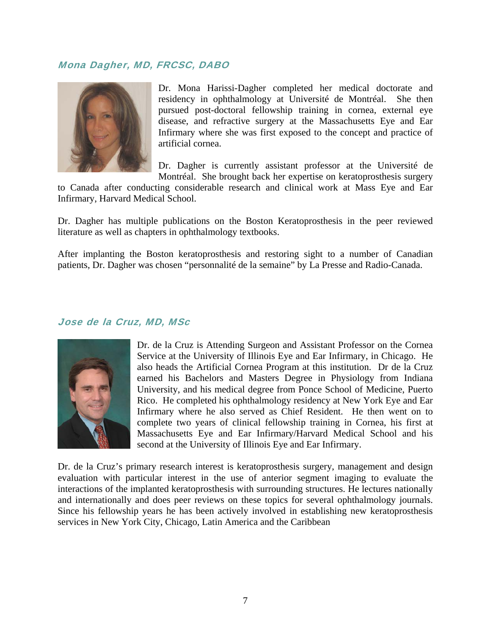#### Mona Dagher, MD, FRCSC, DABO



Dr. Mona Harissi-Dagher completed her medical doctorate and residency in ophthalmology at Université de Montréal. She then pursued post-doctoral fellowship training in cornea, external eye disease, and refractive surgery at the Massachusetts Eye and Ear Infirmary where she was first exposed to the concept and practice of artificial cornea.

Dr. Dagher is currently assistant professor at the Université de Montréal. She brought back her expertise on keratoprosthesis surgery

to Canada after conducting considerable research and clinical work at Mass Eye and Ear Infirmary, Harvard Medical School.

Dr. Dagher has multiple publications on the Boston Keratoprosthesis in the peer reviewed literature as well as chapters in ophthalmology textbooks.

After implanting the Boston keratoprosthesis and restoring sight to a number of Canadian patients, Dr. Dagher was chosen "personnalité de la semaine" by La Presse and Radio-Canada.

#### Jose de la Cruz, MD, MSc



Dr. de la Cruz is Attending Surgeon and Assistant Professor on the Cornea Service at the University of Illinois Eye and Ear Infirmary, in Chicago. He also heads the Artificial Cornea Program at this institution. Dr de la Cruz earned his Bachelors and Masters Degree in Physiology from Indiana University, and his medical degree from Ponce School of Medicine, Puerto Rico. He completed his ophthalmology residency at New York Eye and Ear Infirmary where he also served as Chief Resident. He then went on to complete two years of clinical fellowship training in Cornea, his first at Massachusetts Eye and Ear Infirmary/Harvard Medical School and his second at the University of Illinois Eye and Ear Infirmary.

Dr. de la Cruz's primary research interest is keratoprosthesis surgery, management and design evaluation with particular interest in the use of anterior segment imaging to evaluate the interactions of the implanted keratoprosthesis with surrounding structures. He lectures nationally and internationally and does peer reviews on these topics for several ophthalmology journals. Since his fellowship years he has been actively involved in establishing new keratoprosthesis services in New York City, Chicago, Latin America and the Caribbean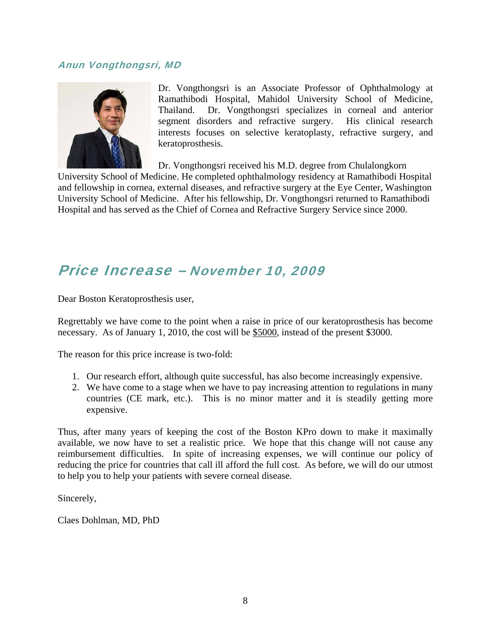#### Anun Vongthongsri, MD



Dr. Vongthongsri is an Associate Professor of Ophthalmology at Ramathibodi Hospital, Mahidol University School of Medicine, Thailand. Dr. Vongthongsri specializes in corneal and anterior segment disorders and refractive surgery. His clinical research interests focuses on selective keratoplasty, refractive surgery, and keratoprosthesis.

Dr. Vongthongsri received his M.D. degree from Chulalongkorn

University School of Medicine. He completed ophthalmology residency at Ramathibodi Hospital and fellowship in cornea, external diseases, and refractive surgery at the Eye Center, Washington University School of Medicine. After his fellowship, Dr. Vongthongsri returned to Ramathibodi Hospital and has served as the Chief of Cornea and Refractive Surgery Service since 2000.

### Price Increase – November 10, 2009

Dear Boston Keratoprosthesis user,

Regrettably we have come to the point when a raise in price of our keratoprosthesis has become necessary. As of January 1, 2010, the cost will be \$5000, instead of the present \$3000.

The reason for this price increase is two-fold:

- 1. Our research effort, although quite successful, has also become increasingly expensive.
- 2. We have come to a stage when we have to pay increasing attention to regulations in many countries (CE mark, etc.). This is no minor matter and it is steadily getting more expensive.

Thus, after many years of keeping the cost of the Boston KPro down to make it maximally available, we now have to set a realistic price. We hope that this change will not cause any reimbursement difficulties. In spite of increasing expenses, we will continue our policy of reducing the price for countries that call ill afford the full cost. As before, we will do our utmost to help you to help your patients with severe corneal disease.

Sincerely,

Claes Dohlman, MD, PhD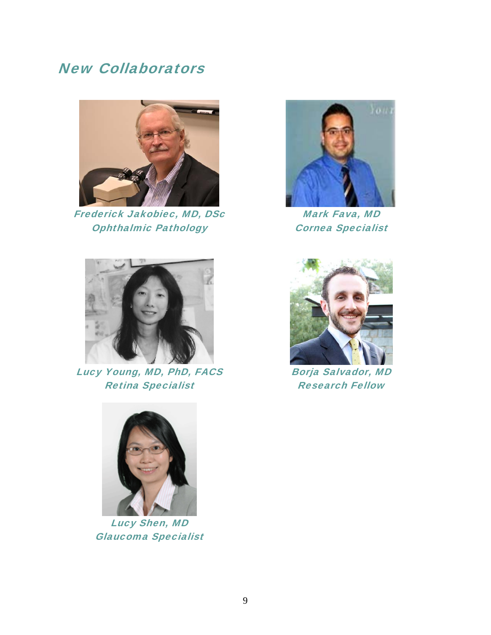### New Collaborators



Frederick Jakobiec, MD, DSc Ophthalmic Pathology



Mark Fava, MD Cornea Specialist



Lucy Young, MD, PhD, FACS Retina Specialist



Borja Salvador, MD Research Fellow



Lucy Shen, MD Glaucoma Specialist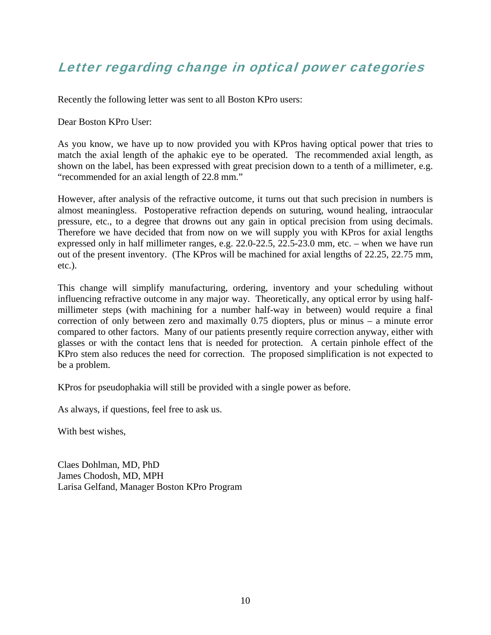### Letter regarding change in optical power categories

Recently the following letter was sent to all Boston KPro users:

Dear Boston KPro User:

As you know, we have up to now provided you with KPros having optical power that tries to match the axial length of the aphakic eye to be operated. The recommended axial length, as shown on the label, has been expressed with great precision down to a tenth of a millimeter, e.g. "recommended for an axial length of 22.8 mm."

However, after analysis of the refractive outcome, it turns out that such precision in numbers is almost meaningless. Postoperative refraction depends on suturing, wound healing, intraocular pressure, etc., to a degree that drowns out any gain in optical precision from using decimals. Therefore we have decided that from now on we will supply you with KPros for axial lengths expressed only in half millimeter ranges, e.g. 22.0-22.5, 22.5-23.0 mm, etc. – when we have run out of the present inventory. (The KPros will be machined for axial lengths of 22.25, 22.75 mm, etc.).

This change will simplify manufacturing, ordering, inventory and your scheduling without influencing refractive outcome in any major way. Theoretically, any optical error by using halfmillimeter steps (with machining for a number half-way in between) would require a final correction of only between zero and maximally 0.75 diopters, plus or minus – a minute error compared to other factors. Many of our patients presently require correction anyway, either with glasses or with the contact lens that is needed for protection. A certain pinhole effect of the KPro stem also reduces the need for correction. The proposed simplification is not expected to be a problem.

KPros for pseudophakia will still be provided with a single power as before.

As always, if questions, feel free to ask us.

With best wishes,

Claes Dohlman, MD, PhD James Chodosh, MD, MPH Larisa Gelfand, Manager Boston KPro Program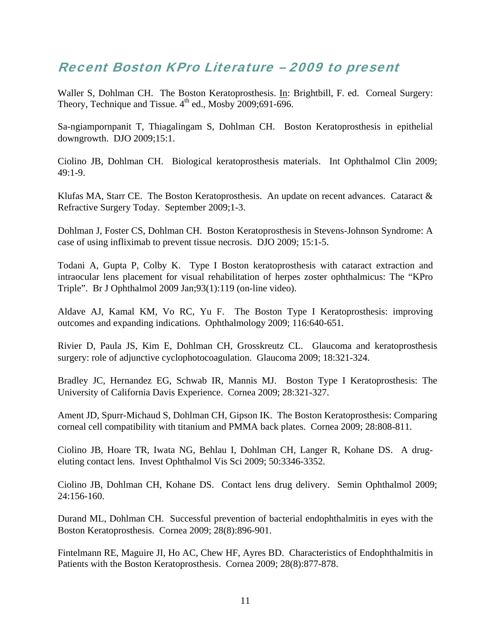### Recent Boston KPro Literature – 2009 to present

Waller S, Dohlman CH. The Boston Keratoprosthesis. In: Brightbill, F. ed. Corneal Surgery: Theory, Technique and Tissue.  $4^{th}$  ed., Mosby 2009;691-696.

Sa-ngiampornpanit T, Thiagalingam S, Dohlman CH. Boston Keratoprosthesis in epithelial downgrowth. DJO 2009;15:1.

Ciolino JB, Dohlman CH. Biological keratoprosthesis materials. Int Ophthalmol Clin 2009; 49:1-9.

Klufas MA, Starr CE. The Boston Keratoprosthesis. An update on recent advances. Cataract & Refractive Surgery Today. September 2009;1-3.

Dohlman J, Foster CS, Dohlman CH. Boston Keratoprosthesis in Stevens-Johnson Syndrome: A case of using infliximab to prevent tissue necrosis. DJO 2009; 15:1-5.

Todani A, Gupta P, Colby K. Type I Boston keratoprosthesis with cataract extraction and intraocular lens placement for visual rehabilitation of herpes zoster ophthalmicus: The "KPro Triple". Br J Ophthalmol 2009 Jan;93(1):119 (on-line video).

Aldave AJ, Kamal KM, Vo RC, Yu F. The Boston Type I Keratoprosthesis: improving outcomes and expanding indications. Ophthalmology 2009; 116:640-651.

Rivier D, Paula JS, Kim E, Dohlman CH, Grosskreutz CL. Glaucoma and keratoprosthesis surgery: role of adjunctive cyclophotocoagulation. Glaucoma 2009; 18:321-324.

Bradley JC, Hernandez EG, Schwab IR, Mannis MJ. Boston Type I Keratoprosthesis: The University of California Davis Experience. Cornea 2009; 28:321-327.

Ament JD, Spurr-Michaud S, Dohlman CH, Gipson IK. The Boston Keratoprosthesis: Comparing corneal cell compatibility with titanium and PMMA back plates. Cornea 2009; 28:808-811.

Ciolino JB, Hoare TR, Iwata NG, Behlau I, Dohlman CH, Langer R, Kohane DS. A drugeluting contact lens. Invest Ophthalmol Vis Sci 2009; 50:3346-3352.

Ciolino JB, Dohlman CH, Kohane DS. Contact lens drug delivery. Semin Ophthalmol 2009; 24:156-160.

Durand ML, Dohlman CH. Successful prevention of bacterial endophthalmitis in eyes with the Boston Keratoprosthesis. Cornea 2009; 28(8):896-901.

Fintelmann RE, Maguire JI, Ho AC, Chew HF, Ayres BD. Characteristics of Endophthalmitis in Patients with the Boston Keratoprosthesis. Cornea 2009; 28(8):877-878.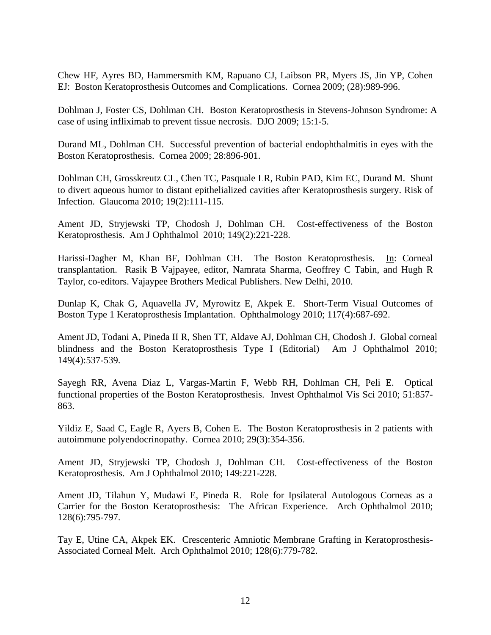Chew HF, Ayres BD, Hammersmith KM, Rapuano CJ, Laibson PR, Myers JS, Jin YP, Cohen EJ: Boston Keratoprosthesis Outcomes and Complications. Cornea 2009; (28):989-996.

Dohlman J, Foster CS, Dohlman CH. Boston Keratoprosthesis in Stevens-Johnson Syndrome: A case of using infliximab to prevent tissue necrosis. DJO 2009; 15:1-5.

Durand ML, Dohlman CH. Successful prevention of bacterial endophthalmitis in eyes with the Boston Keratoprosthesis. Cornea 2009; 28:896-901.

Dohlman CH, Grosskreutz CL, Chen TC, Pasquale LR, Rubin PAD, Kim EC, Durand M. Shunt to divert aqueous humor to distant epithelialized cavities after Keratoprosthesis surgery. Risk of Infection. Glaucoma 2010; 19(2):111-115.

Ament JD, Stryjewski TP, Chodosh J, Dohlman CH. Cost-effectiveness of the Boston Keratoprosthesis. Am J Ophthalmol 2010; 149(2):221-228.

Harissi-Dagher M, Khan BF, Dohlman CH. The Boston Keratoprosthesis. In: Corneal transplantation. Rasik B Vajpayee, editor, Namrata Sharma, Geoffrey C Tabin, and Hugh R Taylor, co-editors. Vajaypee Brothers Medical Publishers. New Delhi, 2010.

Dunlap K, Chak G, Aquavella JV, Myrowitz E, Akpek E. Short-Term Visual Outcomes of Boston Type 1 Keratoprosthesis Implantation. Ophthalmology 2010; 117(4):687-692.

Ament JD, Todani A, Pineda II R, Shen TT, Aldave AJ, Dohlman CH, Chodosh J. Global corneal blindness and the Boston Keratoprosthesis Type I (Editorial) Am J Ophthalmol 2010; 149(4):537-539.

Sayegh RR, Avena Diaz L, Vargas-Martin F, Webb RH, Dohlman CH, Peli E. Optical functional properties of the Boston Keratoprosthesis. Invest Ophthalmol Vis Sci 2010; 51:857- 863.

Yildiz E, Saad C, Eagle R, Ayers B, Cohen E. The Boston Keratoprosthesis in 2 patients with autoimmune polyendocrinopathy. Cornea 2010; 29(3):354-356.

Ament JD, Stryjewski TP, Chodosh J, Dohlman CH. Cost-effectiveness of the Boston Keratoprosthesis. Am J Ophthalmol 2010; 149:221-228.

Ament JD, Tilahun Y, Mudawi E, Pineda R. Role for Ipsilateral Autologous Corneas as a Carrier for the Boston Keratoprosthesis: The African Experience. Arch Ophthalmol 2010; 128(6):795-797.

Tay E, Utine CA, Akpek EK. Crescenteric Amniotic Membrane Grafting in Keratoprosthesis-Associated Corneal Melt. Arch Ophthalmol 2010; 128(6):779-782.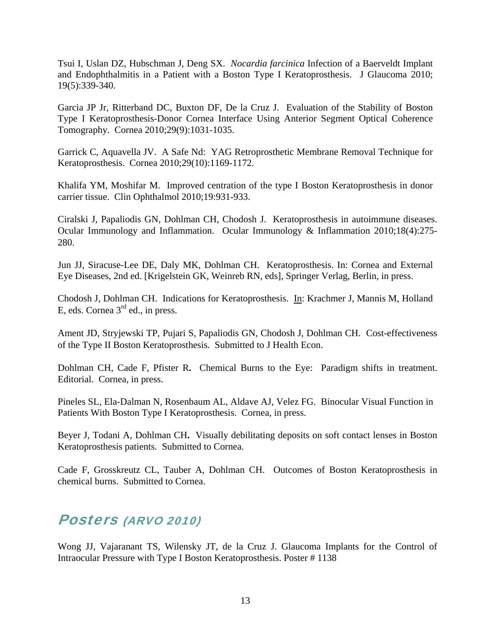Tsui I, Uslan DZ, Hubschman J, Deng SX. *Nocardia farcinica* Infection of a Baerveldt Implant and Endophthalmitis in a Patient with a Boston Type I Keratoprosthesis. J Glaucoma 2010; 19(5):339-340.

Garcia JP Jr, Ritterband DC, Buxton DF, De la Cruz J. Evaluation of the Stability of Boston Type I Keratoprosthesis-Donor Cornea Interface Using Anterior Segment Optical Coherence Tomography. Cornea 2010;29(9):1031-1035.

Garrick C, Aquavella JV. A Safe Nd: YAG Retroprosthetic Membrane Removal Technique for Keratoprosthesis. Cornea 2010;29(10):1169-1172.

Khalifa YM, Moshifar M. Improved centration of the type I Boston Keratoprosthesis in donor carrier tissue. Clin Ophthalmol 2010;19:931-933.

Ciralski J, Papaliodis GN, Dohlman CH, Chodosh J. Keratoprosthesis in autoimmune diseases. Ocular Immunology and Inflammation. Ocular Immunology & Inflammation 2010;18(4):275- 280.

Jun JJ, Siracuse-Lee DE, Daly MK, Dohlman CH. Keratoprosthesis. In: Cornea and External Eye Diseases, 2nd ed. [Krigelstein GK, Weinreb RN, eds], Springer Verlag, Berlin, in press.

Chodosh J, Dohlman CH. Indications for Keratoprosthesis. In: Krachmer J, Mannis M, Holland E, eds. Cornea 3rd ed., in press.

Ament JD, Stryjewski TP, Pujari S, Papaliodis GN, Chodosh J, Dohlman CH. Cost-effectiveness of the Type II Boston Keratoprosthesis. Submitted to J Health Econ.

Dohlman CH, Cade F, Pfister R**.** Chemical Burns to the Eye: Paradigm shifts in treatment. Editorial. Cornea, in press.

Pineles SL, Ela-Dalman N, Rosenbaum AL, Aldave AJ, Velez FG. Binocular Visual Function in Patients With Boston Type I Keratoprosthesis. Cornea, in press.

Beyer J, Todani A, Dohlman CH**.** Visually debilitating deposits on soft contact lenses in Boston Keratoprosthesis patients. Submitted to Cornea.

Cade F, Grosskreutz CL, Tauber A, Dohlman CH. Outcomes of Boston Keratoprosthesis in chemical burns. Submitted to Cornea.

### Posters (ARVO 2010)

Wong JJ, Vajaranant TS, Wilensky JT, de la Cruz J. Glaucoma Implants for the Control of Intraocular Pressure with Type I Boston Keratoprosthesis. Poster # 1138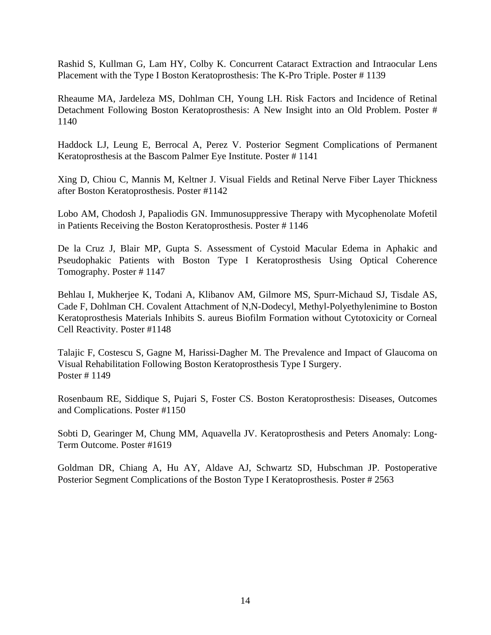Rashid S, Kullman G, Lam HY, Colby K. Concurrent Cataract Extraction and Intraocular Lens Placement with the Type I Boston Keratoprosthesis: The K-Pro Triple. Poster # 1139

Rheaume MA, Jardeleza MS, Dohlman CH, Young LH. Risk Factors and Incidence of Retinal Detachment Following Boston Keratoprosthesis: A New Insight into an Old Problem. Poster # 1140

Haddock LJ, Leung E, Berrocal A, Perez V. Posterior Segment Complications of Permanent Keratoprosthesis at the Bascom Palmer Eye Institute. Poster # 1141

Xing D, Chiou C, Mannis M, Keltner J. Visual Fields and Retinal Nerve Fiber Layer Thickness after Boston Keratoprosthesis. Poster #1142

Lobo AM, Chodosh J, Papaliodis GN. Immunosuppressive Therapy with Mycophenolate Mofetil in Patients Receiving the Boston Keratoprosthesis. Poster # 1146

De la Cruz J, Blair MP, Gupta S. Assessment of Cystoid Macular Edema in Aphakic and Pseudophakic Patients with Boston Type I Keratoprosthesis Using Optical Coherence Tomography. Poster # 1147

Behlau I, Mukherjee K, Todani A, Klibanov AM, Gilmore MS, Spurr-Michaud SJ, Tisdale AS, Cade F, Dohlman CH. Covalent Attachment of N,N-Dodecyl, Methyl-Polyethylenimine to Boston Keratoprosthesis Materials Inhibits S. aureus Biofilm Formation without Cytotoxicity or Corneal Cell Reactivity. Poster #1148

Talajic F, Costescu S, Gagne M, Harissi-Dagher M. The Prevalence and Impact of Glaucoma on Visual Rehabilitation Following Boston Keratoprosthesis Type I Surgery. Poster # 1149

Rosenbaum RE, Siddique S, Pujari S, Foster CS. Boston Keratoprosthesis: Diseases, Outcomes and Complications. Poster #1150

Sobti D, Gearinger M, Chung MM, Aquavella JV. Keratoprosthesis and Peters Anomaly: Long-Term Outcome. Poster #1619

Goldman DR, Chiang A, Hu AY, Aldave AJ, Schwartz SD, Hubschman JP. Postoperative Posterior Segment Complications of the Boston Type I Keratoprosthesis. Poster # 2563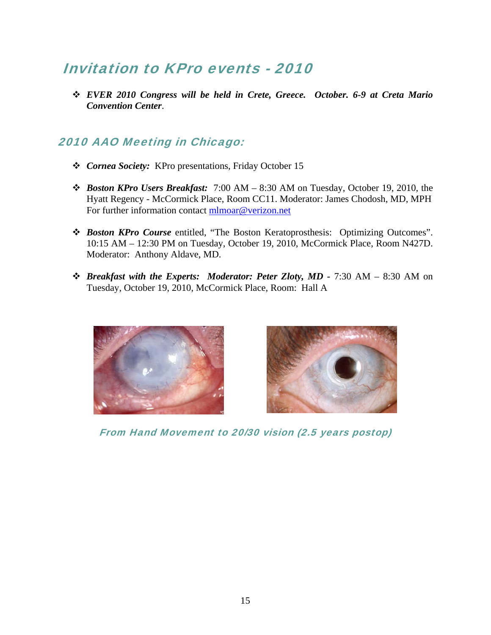### Invitation to KPro events - 2010

 *EVER 2010 Congress will be held in Crete, Greece. October. 6-9 at Creta Mario Convention Center*.

### 2010 AAO Meeting in Chicago:

- *Cornea Society:* KPro presentations, Friday October 15
- *Boston KPro Users Breakfast:* 7:00 AM 8:30 AM on Tuesday, October 19, 2010, the Hyatt Regency - McCormick Place, Room CC11. Moderator: James Chodosh, MD, MPH For further information contact mlmoar@verizon.net
- *Boston KPro Course* entitled, "The Boston Keratoprosthesis: Optimizing Outcomes". 10:15 AM – 12:30 PM on Tuesday, October 19, 2010, McCormick Place, Room N427D. Moderator: Anthony Aldave, MD.
- *Breakfast with the Experts: Moderator: Peter Zloty, MD* 7:30 AM 8:30 AM on Tuesday, October 19, 2010, McCormick Place, Room: Hall A





From Hand Movement to 20/30 vision (2.5 years postop)